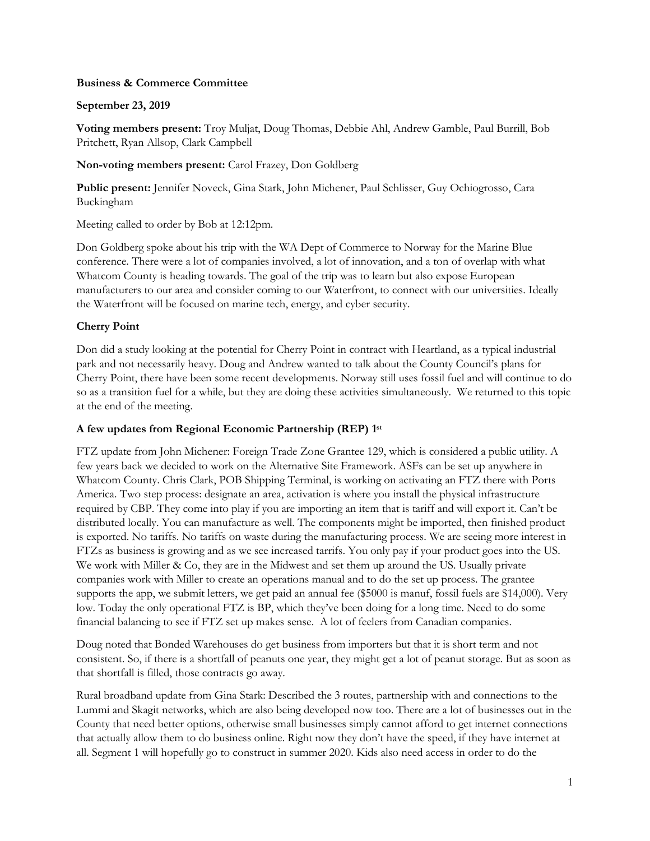## **Business & Commerce Committee**

## **September 23, 2019**

**Voting members present:** Troy Muljat, Doug Thomas, Debbie Ahl, Andrew Gamble, Paul Burrill, Bob Pritchett, Ryan Allsop, Clark Campbell

### **Non-voting members present:** Carol Frazey, Don Goldberg

**Public present:** Jennifer Noveck, Gina Stark, John Michener, Paul Schlisser, Guy Ochiogrosso, Cara Buckingham

Meeting called to order by Bob at 12:12pm.

Don Goldberg spoke about his trip with the WA Dept of Commerce to Norway for the Marine Blue conference. There were a lot of companies involved, a lot of innovation, and a ton of overlap with what Whatcom County is heading towards. The goal of the trip was to learn but also expose European manufacturers to our area and consider coming to our Waterfront, to connect with our universities. Ideally the Waterfront will be focused on marine tech, energy, and cyber security.

# **Cherry Point**

Don did a study looking at the potential for Cherry Point in contract with Heartland, as a typical industrial park and not necessarily heavy. Doug and Andrew wanted to talk about the County Council's plans for Cherry Point, there have been some recent developments. Norway still uses fossil fuel and will continue to do so as a transition fuel for a while, but they are doing these activities simultaneously. We returned to this topic at the end of the meeting.

### **A few updates from Regional Economic Partnership (REP) 1 st**

FTZ update from John Michener: Foreign Trade Zone Grantee 129, which is considered a public utility. A few years back we decided to work on the Alternative Site Framework. ASFs can be set up anywhere in Whatcom County. Chris Clark, POB Shipping Terminal, is working on activating an FTZ there with Ports America. Two step process: designate an area, activation is where you install the physical infrastructure required by CBP. They come into play if you are importing an item that is tariff and will export it. Can't be distributed locally. You can manufacture as well. The components might be imported, then finished product is exported. No tariffs. No tariffs on waste during the manufacturing process. We are seeing more interest in FTZs as business is growing and as we see increased tarrifs. You only pay if your product goes into the US. We work with Miller & Co, they are in the Midwest and set them up around the US. Usually private companies work with Miller to create an operations manual and to do the set up process. The grantee supports the app, we submit letters, we get paid an annual fee (\$5000 is manuf, fossil fuels are \$14,000). Very low. Today the only operational FTZ is BP, which they've been doing for a long time. Need to do some financial balancing to see if FTZ set up makes sense. A lot of feelers from Canadian companies.

Doug noted that Bonded Warehouses do get business from importers but that it is short term and not consistent. So, if there is a shortfall of peanuts one year, they might get a lot of peanut storage. But as soon as that shortfall is filled, those contracts go away.

Rural broadband update from Gina Stark: Described the 3 routes, partnership with and connections to the Lummi and Skagit networks, which are also being developed now too. There are a lot of businesses out in the County that need better options, otherwise small businesses simply cannot afford to get internet connections that actually allow them to do business online. Right now they don't have the speed, if they have internet at all. Segment 1 will hopefully go to construct in summer 2020. Kids also need access in order to do the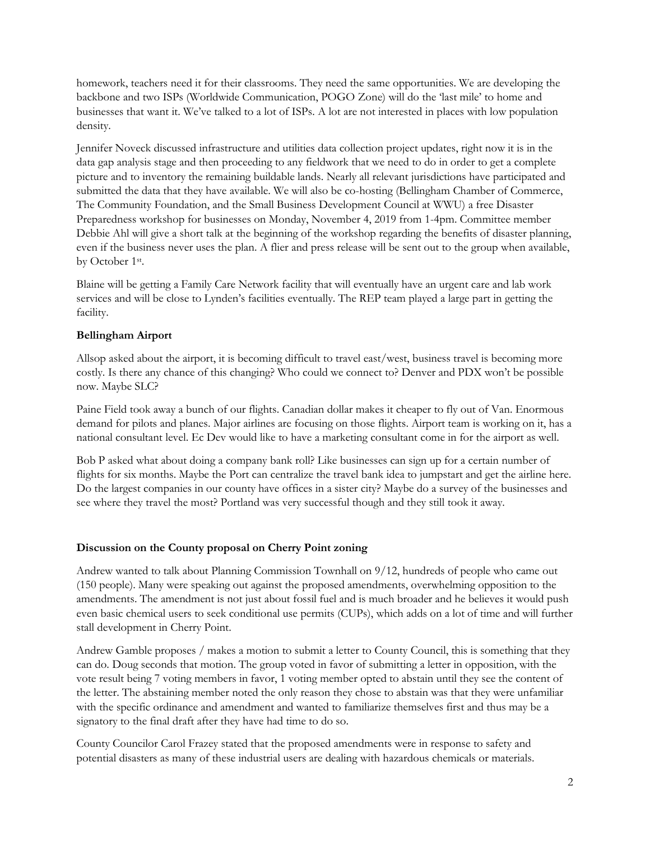homework, teachers need it for their classrooms. They need the same opportunities. We are developing the backbone and two ISPs (Worldwide Communication, POGO Zone) will do the 'last mile' to home and businesses that want it. We've talked to a lot of ISPs. A lot are not interested in places with low population density.

Jennifer Noveck discussed infrastructure and utilities data collection project updates, right now it is in the data gap analysis stage and then proceeding to any fieldwork that we need to do in order to get a complete picture and to inventory the remaining buildable lands. Nearly all relevant jurisdictions have participated and submitted the data that they have available. We will also be co-hosting (Bellingham Chamber of Commerce, The Community Foundation, and the Small Business Development Council at WWU) a free Disaster Preparedness workshop for businesses on Monday, November 4, 2019 from 1-4pm. Committee member Debbie Ahl will give a short talk at the beginning of the workshop regarding the benefits of disaster planning, even if the business never uses the plan. A flier and press release will be sent out to the group when available, by October 1<sup>st</sup>.

Blaine will be getting a Family Care Network facility that will eventually have an urgent care and lab work services and will be close to Lynden's facilities eventually. The REP team played a large part in getting the facility.

### **Bellingham Airport**

Allsop asked about the airport, it is becoming difficult to travel east/west, business travel is becoming more costly. Is there any chance of this changing? Who could we connect to? Denver and PDX won't be possible now. Maybe SLC?

Paine Field took away a bunch of our flights. Canadian dollar makes it cheaper to fly out of Van. Enormous demand for pilots and planes. Major airlines are focusing on those flights. Airport team is working on it, has a national consultant level. Ec Dev would like to have a marketing consultant come in for the airport as well.

Bob P asked what about doing a company bank roll? Like businesses can sign up for a certain number of flights for six months. Maybe the Port can centralize the travel bank idea to jumpstart and get the airline here. Do the largest companies in our county have offices in a sister city? Maybe do a survey of the businesses and see where they travel the most? Portland was very successful though and they still took it away.

### **Discussion on the County proposal on Cherry Point zoning**

Andrew wanted to talk about Planning Commission Townhall on 9/12, hundreds of people who came out (150 people). Many were speaking out against the proposed amendments, overwhelming opposition to the amendments. The amendment is not just about fossil fuel and is much broader and he believes it would push even basic chemical users to seek conditional use permits (CUPs), which adds on a lot of time and will further stall development in Cherry Point.

Andrew Gamble proposes / makes a motion to submit a letter to County Council, this is something that they can do. Doug seconds that motion. The group voted in favor of submitting a letter in opposition, with the vote result being 7 voting members in favor, 1 voting member opted to abstain until they see the content of the letter. The abstaining member noted the only reason they chose to abstain was that they were unfamiliar with the specific ordinance and amendment and wanted to familiarize themselves first and thus may be a signatory to the final draft after they have had time to do so.

County Councilor Carol Frazey stated that the proposed amendments were in response to safety and potential disasters as many of these industrial users are dealing with hazardous chemicals or materials.